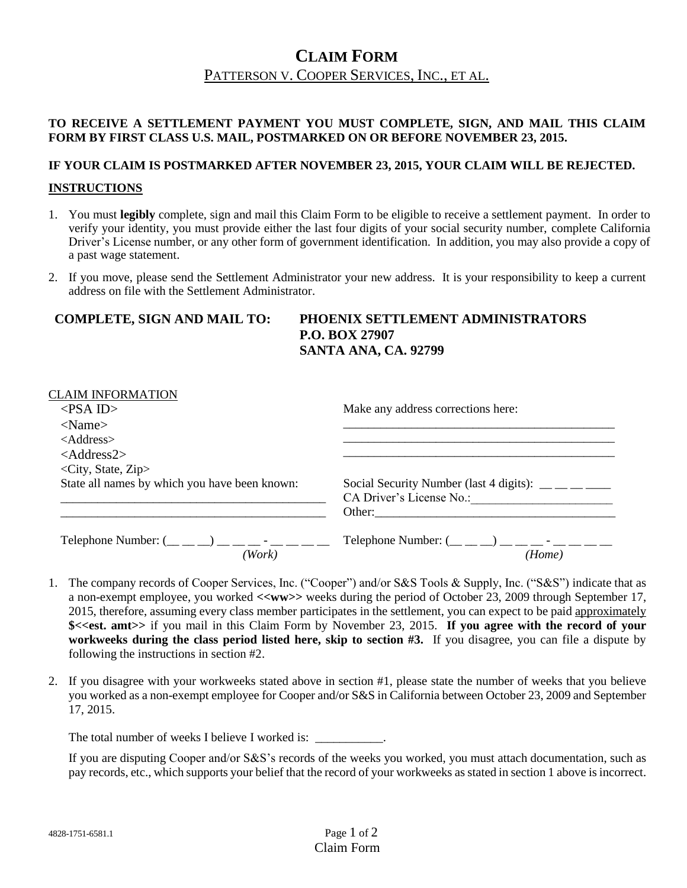# **CLAIM FORM** PATTERSON V. COOPER SERVICES, INC., ET AL.

#### **TO RECEIVE A SETTLEMENT PAYMENT YOU MUST COMPLETE, SIGN, AND MAIL THIS CLAIM FORM BY FIRST CLASS U.S. MAIL, POSTMARKED ON OR BEFORE NOVEMBER 23, 2015.**

## **IF YOUR CLAIM IS POSTMARKED AFTER NOVEMBER 23, 2015, YOUR CLAIM WILL BE REJECTED. INSTRUCTIONS**

- 1. You must **legibly** complete, sign and mail this Claim Form to be eligible to receive a settlement payment. In order to verify your identity, you must provide either the last four digits of your social security number, complete California Driver's License number, or any other form of government identification. In addition, you may also provide a copy of a past wage statement.
- 2. If you move, please send the Settlement Administrator your new address. It is your responsibility to keep a current address on file with the Settlement Administrator.

#### **COMPLETE, SIGN AND MAIL TO: PHOENIX SETTLEMENT ADMINISTRATORS P.O. BOX 27907 SANTA ANA, CA. 92799**

| <b>CLAIM INFORMATION</b>                                                |                                                                   |
|-------------------------------------------------------------------------|-------------------------------------------------------------------|
| $\langle$ PSA ID>                                                       | Make any address corrections here:                                |
| $<$ Name $>$                                                            |                                                                   |
| $<$ Address $>$                                                         |                                                                   |
| $<$ Address2>                                                           |                                                                   |
| $\langle City, State, Zip \rangle$                                      |                                                                   |
| State all names by which you have been known:                           | Social Security Number (last 4 digits): $\_\_$ $\_\_$             |
|                                                                         | CA Driver's License No.:                                          |
|                                                                         | Other:                                                            |
| Telephone Number: $(\_ \_ \_ \_ \_ \_ \_ \_ \_ \_ \_ \_ \_ \_ \_ \_ \_$ | Telephone Number: $(\_ \_ \_ \_ \_ \_ \_ \_ \_ \_ \_ \_ \_ \_ \_$ |
| Work)                                                                   | (Home)                                                            |

- 1. The company records of Cooper Services, Inc. ("Cooper") and/or S&S Tools & Supply, Inc. ("S&S") indicate that as a non-exempt employee, you worked **<<ww>>** weeks during the period of October 23, 2009 through September 17, 2015, therefore, assuming every class member participates in the settlement, you can expect to be paid approximately **\$<<est. amt>>** if you mail in this Claim Form by November 23, 2015. **If you agree with the record of your workweeks during the class period listed here, skip to section #3.** If you disagree, you can file a dispute by following the instructions in section #2.
- 2. If you disagree with your workweeks stated above in section #1, please state the number of weeks that you believe you worked as a non-exempt employee for Cooper and/or S&S in California between October 23, 2009 and September 17, 2015.

The total number of weeks I believe I worked is: \_\_\_\_\_\_\_\_\_\_\_.

If you are disputing Cooper and/or S&S's records of the weeks you worked, you must attach documentation, such as pay records, etc., which supports your belief that the record of your workweeks as stated in section 1 above is incorrect.